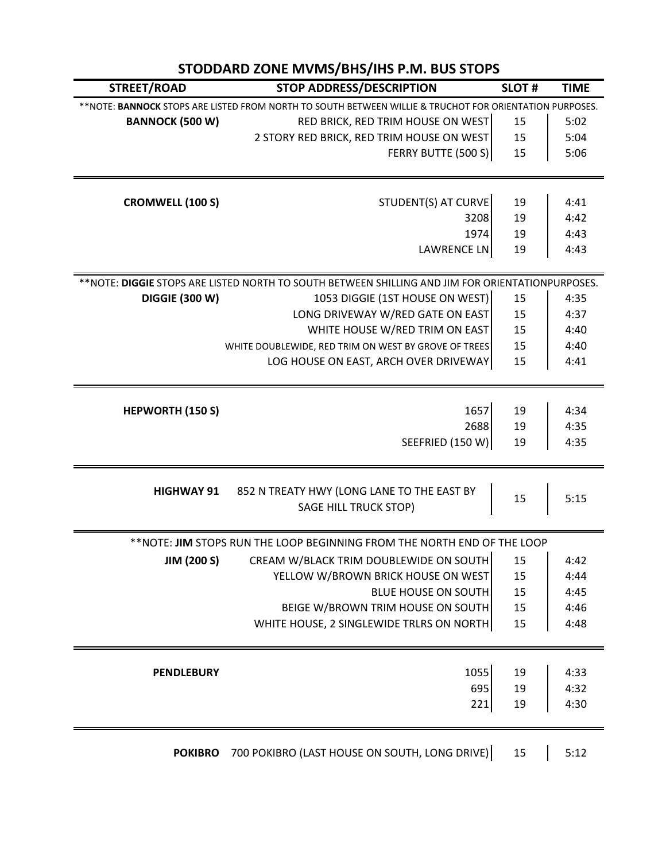| STODDARD ZONE MVMS/BHS/IHS P.M. BUS STOPS                                                                |                                                                     |              |              |  |
|----------------------------------------------------------------------------------------------------------|---------------------------------------------------------------------|--------------|--------------|--|
| STREET/ROAD                                                                                              | <b>STOP ADDRESS/DESCRIPTION</b>                                     | <b>SLOT#</b> | <b>TIME</b>  |  |
| ** NOTE: BANNOCK STOPS ARE LISTED FROM NORTH TO SOUTH BETWEEN WILLIE & TRUCHOT FOR ORIENTATION PURPOSES. |                                                                     |              |              |  |
| <b>BANNOCK (500 W)</b>                                                                                   | RED BRICK, RED TRIM HOUSE ON WEST                                   | 15           | 5:02         |  |
|                                                                                                          | 2 STORY RED BRICK, RED TRIM HOUSE ON WEST                           | 15           | 5:04         |  |
|                                                                                                          | FERRY BUTTE (500 S)                                                 | 15           | 5:06         |  |
| <b>CROMWELL (100 S)</b>                                                                                  | STUDENT(S) AT CURVE                                                 | 19           | 4:41         |  |
|                                                                                                          | 3208                                                                | 19           | 4:42         |  |
|                                                                                                          | 1974                                                                | 19           | 4:43         |  |
|                                                                                                          | LAWRENCE LN                                                         | 19           | 4:43         |  |
| ** NOTE: DIGGIE STOPS ARE LISTED NORTH TO SOUTH BETWEEN SHILLING AND JIM FOR ORIENTATIONPURPOSES.        |                                                                     |              |              |  |
| <b>DIGGIE (300 W)</b>                                                                                    | 1053 DIGGIE (1ST HOUSE ON WEST)                                     | 15           | 4:35         |  |
|                                                                                                          | LONG DRIVEWAY W/RED GATE ON EAST                                    | 15           | 4:37         |  |
|                                                                                                          | WHITE HOUSE W/RED TRIM ON EAST                                      | 15           | 4:40         |  |
|                                                                                                          | WHITE DOUBLEWIDE, RED TRIM ON WEST BY GROVE OF TREES                | 15           | 4:40         |  |
|                                                                                                          | LOG HOUSE ON EAST, ARCH OVER DRIVEWAY                               | 15           | 4:41         |  |
|                                                                                                          |                                                                     |              |              |  |
| <b>HEPWORTH (150 S)</b>                                                                                  | 1657<br>2688                                                        | 19<br>19     | 4:34<br>4:35 |  |
|                                                                                                          | SEEFRIED (150 W)                                                    | 19           | 4:35         |  |
|                                                                                                          |                                                                     |              |              |  |
| <b>HIGHWAY 91</b>                                                                                        | 852 N TREATY HWY (LONG LANE TO THE EAST BY<br>SAGE HILL TRUCK STOP) | 15           | 5:15         |  |
| **NOTE: JIM STOPS RUN THE LOOP BEGINNING FROM THE NORTH END OF THE LOOP                                  |                                                                     |              |              |  |
| <b>JIM (200 S)</b>                                                                                       | CREAM W/BLACK TRIM DOUBLEWIDE ON SOUTH                              | 15           | 4:42         |  |
|                                                                                                          | YELLOW W/BROWN BRICK HOUSE ON WEST                                  | 15           | 4:44         |  |
|                                                                                                          | <b>BLUE HOUSE ON SOUTH</b>                                          | 15           | 4:45         |  |
|                                                                                                          | BEIGE W/BROWN TRIM HOUSE ON SOUTH                                   | 15           | 4:46         |  |
|                                                                                                          | WHITE HOUSE, 2 SINGLEWIDE TRLRS ON NORTH                            | 15           | 4:48         |  |
| <b>PENDLEBURY</b>                                                                                        | 1055                                                                | 19           | 4:33         |  |
|                                                                                                          | 695                                                                 | 19           | 4:32         |  |
|                                                                                                          | 221                                                                 | 19           | 4:30         |  |
| <b>POKIBRO</b>                                                                                           | 700 POKIBRO (LAST HOUSE ON SOUTH, LONG DRIVE)                       | 15           | 5:12         |  |